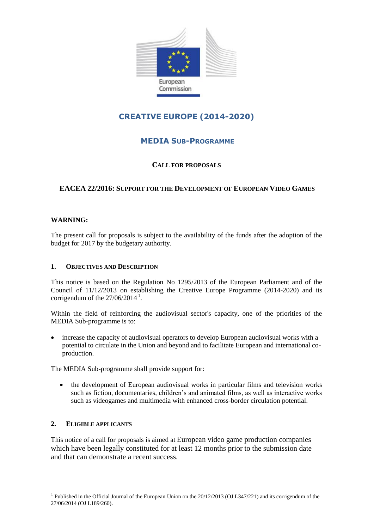

# **CREATIVE EUROPE (2014-2020)**

# **MEDIA SUB-PROGRAMME**

### **CALL FOR PROPOSALS**

## **EACEA 22/2016: SUPPORT FOR THE DEVELOPMENT OF EUROPEAN VIDEO GAMES**

#### **WARNING:**

The present call for proposals is subject to the availability of the funds after the adoption of the budget for 2017 by the budgetary authority.

#### **1. OBJECTIVES AND DESCRIPTION**

This notice is based on the Regulation No 1295/2013 of the European Parliament and of the Council of 11/12/2013 on establishing the Creative Europe Programme (2014-2020) and its corrigendum of the  $27/06/2014$ <sup>1</sup>.

Within the field of reinforcing the audiovisual sector's capacity, one of the priorities of the MEDIA Sub-programme is to:

 increase the capacity of audiovisual operators to develop European audiovisual works with a potential to circulate in the Union and beyond and to facilitate European and international coproduction.

The MEDIA Sub-programme shall provide support for:

 the development of European audiovisual works in particular films and television works such as fiction, documentaries, children's and animated films, as well as interactive works such as videogames and multimedia with enhanced cross-border circulation potential.

#### **2. ELIGIBLE APPLICANTS**

<u>.</u>

This notice of a call for proposals is aimed at European video game production companies which have been legally constituted for at least 12 months prior to the submission date and that can demonstrate a recent success.

<sup>&</sup>lt;sup>1</sup> Published in the Official Journal of the European Union on the 20/12/2013 (OJ L347/221) and its corrigendum of the 27/06/2014 (OJ L189/260).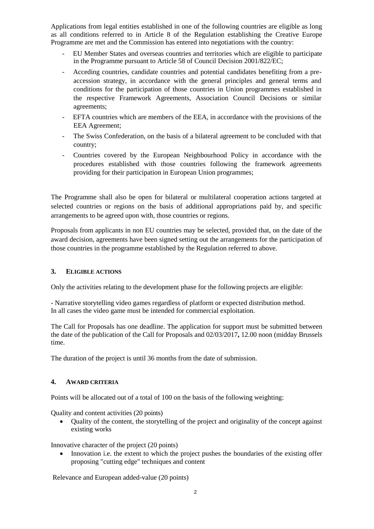Applications from legal entities established in one of the following countries are eligible as long as all conditions referred to in Article 8 of the Regulation establishing the Creative Europe Programme are met and the Commission has entered into negotiations with the country:

- EU Member States and overseas countries and territories which are eligible to participate in the Programme pursuant to Article 58 of Council Decision 2001/822/EC;
- Acceding countries, candidate countries and potential candidates benefiting from a preaccession strategy, in accordance with the general principles and general terms and conditions for the participation of those countries in Union programmes established in the respective Framework Agreements, Association Council Decisions or similar agreements;
- EFTA countries which are members of the EEA, in accordance with the provisions of the EEA Agreement;
- The Swiss Confederation, on the basis of a bilateral agreement to be concluded with that country;
- Countries covered by the European Neighbourhood Policy in accordance with the procedures established with those countries following the framework agreements providing for their participation in European Union programmes;

The Programme shall also be open for bilateral or multilateral cooperation actions targeted at selected countries or regions on the basis of additional appropriations paid by, and specific arrangements to be agreed upon with, those countries or regions.

Proposals from applicants in non EU countries may be selected, provided that, on the date of the award decision, agreements have been signed setting out the arrangements for the participation of those countries in the programme established by the Regulation referred to above.

#### **3. ELIGIBLE ACTIONS**

Only the activities relating to the development phase for the following projects are eligible:

- Narrative storytelling video games regardless of platform or expected distribution method. In all cases the video game must be intended for commercial exploitation.

The Call for Proposals has one deadline. The application for support must be submitted between the date of the publication of the Call for Proposals and 02/03/2017**,** 12.00 noon (midday Brussels time.

The duration of the project is until 36 months from the date of submission.

#### **4. AWARD CRITERIA**

Points will be allocated out of a total of 100 on the basis of the following weighting:

Quality and content activities (20 points)

 Quality of the content, the storytelling of the project and originality of the concept against existing works

Innovative character of the project (20 points)

 Innovation i.e. the extent to which the project pushes the boundaries of the existing offer proposing "cutting edge" techniques and content

Relevance and European added-value (20 points)